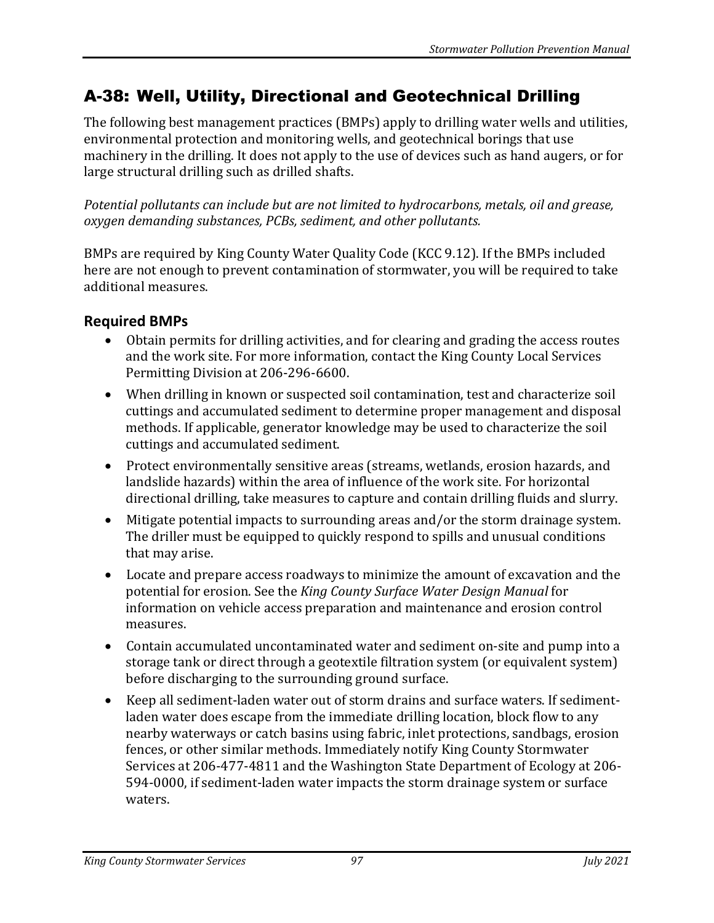## A-38: Well, Utility, Directional and Geotechnical Drilling

The following best management practices (BMPs) apply to drilling water wells and utilities, environmental protection and monitoring wells, and geotechnical borings that use machinery in the drilling. It does not apply to the use of devices such as hand augers, or for large structural drilling such as drilled shafts.

*Potential pollutants can include but are not limited to hydrocarbons, metals, oil and grease, oxygen demanding substances, PCBs, sediment, and other pollutants.* 

BMPs are required by King County Water Quality Code (KCC 9.12). If the BMPs included here are not enough to prevent contamination of stormwater, you will be required to take additional measures.

## **Required BMPs**

- Obtain permits for drilling activities, and for clearing and grading the access routes and the work site. For more information, contact the King County Local Services Permitting Division at 206-296-6600.
- When drilling in known or suspected soil contamination, test and characterize soil cuttings and accumulated sediment to determine proper management and disposal methods. If applicable, generator knowledge may be used to characterize the soil cuttings and accumulated sediment.
- Protect environmentally sensitive areas (streams, wetlands, erosion hazards, and landslide hazards) within the area of influence of the work site. For horizontal directional drilling, take measures to capture and contain drilling fluids and slurry.
- Mitigate potential impacts to surrounding areas and/or the storm drainage system. The driller must be equipped to quickly respond to spills and unusual conditions that may arise.
- Locate and prepare access roadways to minimize the amount of excavation and the potential for erosion. See the *King County Surface Water Design Manual* for information on vehicle access preparation and maintenance and erosion control measures.
- Contain accumulated uncontaminated water and sediment on-site and pump into a storage tank or direct through a geotextile filtration system (or equivalent system) before discharging to the surrounding ground surface.
- Keep all sediment-laden water out of storm drains and surface waters. If sedimentladen water does escape from the immediate drilling location, block flow to any nearby waterways or catch basins using fabric, inlet protections, sandbags, erosion fences, or other similar methods. Immediately notify King County Stormwater Services at 206-477-4811 and the Washington State Department of Ecology at 206- 594-0000, if sediment-laden water impacts the storm drainage system or surface waters.